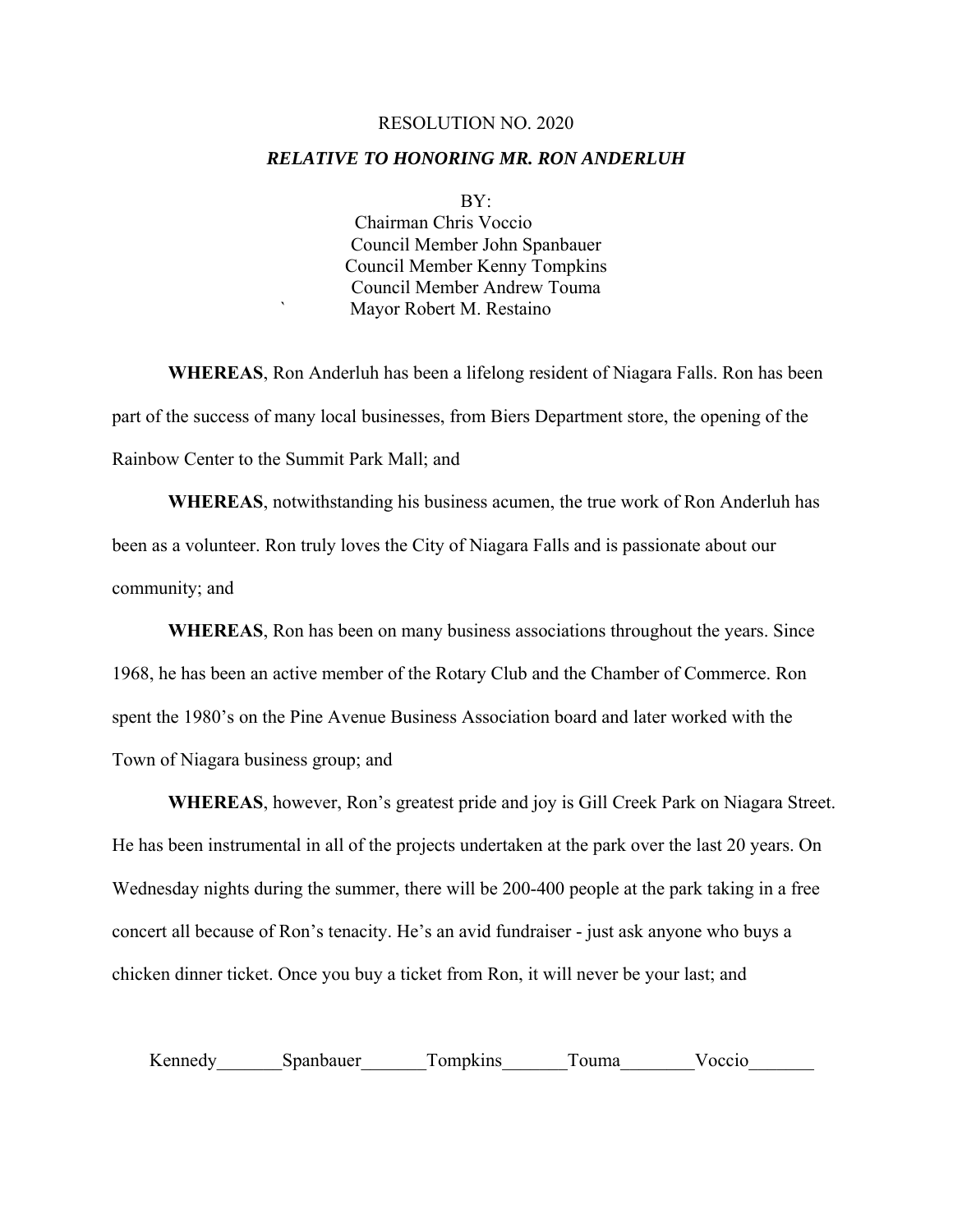## RESOLUTION NO. 2020

## *RELATIVE TO HONORING MR. RON ANDERLUH*

## BY:

 Chairman Chris Voccio Council Member John Spanbauer Council Member Kenny Tompkins Council Member Andrew Touma ` Mayor Robert M. Restaino

**WHEREAS**, Ron Anderluh has been a lifelong resident of Niagara Falls. Ron has been part of the success of many local businesses, from Biers Department store, the opening of the Rainbow Center to the Summit Park Mall; and

 **WHEREAS**, notwithstanding his business acumen, the true work of Ron Anderluh has been as a volunteer. Ron truly loves the City of Niagara Falls and is passionate about our community; and

**WHEREAS**, Ron has been on many business associations throughout the years. Since 1968, he has been an active member of the Rotary Club and the Chamber of Commerce. Ron spent the 1980's on the Pine Avenue Business Association board and later worked with the Town of Niagara business group; and

**WHEREAS**, however, Ron's greatest pride and joy is Gill Creek Park on Niagara Street. He has been instrumental in all of the projects undertaken at the park over the last 20 years. On Wednesday nights during the summer, there will be 200-400 people at the park taking in a free concert all because of Ron's tenacity. He's an avid fundraiser - just ask anyone who buys a chicken dinner ticket. Once you buy a ticket from Ron, it will never be your last; and

| --<br>$\mathbf{r}$ |  | ۱۵. |  |
|--------------------|--|-----|--|
|                    |  |     |  |